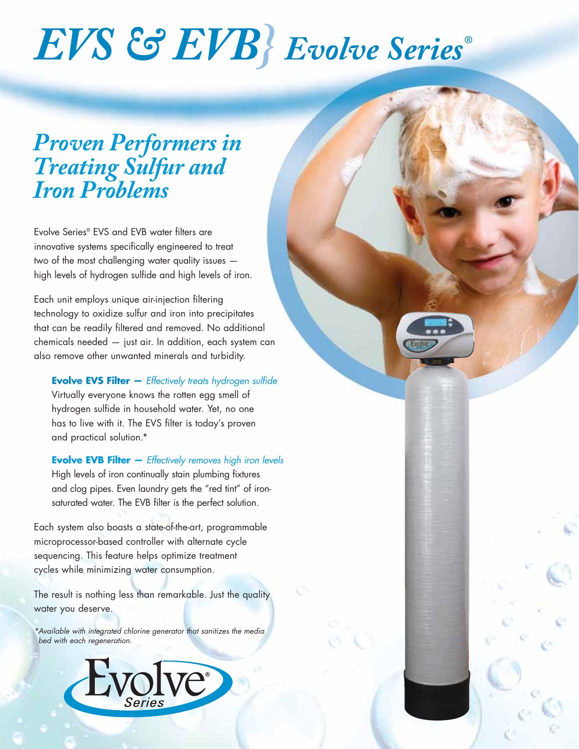# *EVS & EVB} Evolve Series®*

# *Proven Performers in Treating Sulfur and Iron Problems*

Evolve Series® EVS and EVB water filters are innovative systems specifically engineered to treat two of the most challenging water quality issues high levels of hydrogen sulfide and high levels of iron.

Each unit employs unique air-injection filtering technology to oxidize sulfur and iron into precipitates that can be readily filtered and removed. No additional chemicals needed — just air. In addition, each system can also remove other unwanted minerals and turbidity.

**Evolve EVS Filter —** *Effectively treats hydrogen sulfide* Virtually everyone knows the rotten egg smell of hydrogen sulfide in household water. Yet, no one has to live with it. The EVS filter is today's proven and practical solution.\*

**Evolve EVB Filter —** *Effectively removes high iron levels*

High levels of iron continually stain plumbing fixtures and clog pipes. Even laundry gets the "red tint" of ironsaturated water. The EVB filter is the perfect solution.

Each system also boasts a state-of-the-art, programmable microprocessor-based controller with alternate cycle sequencing. This feature helps optimize treatment cycles while minimizing water consumption.

The result is nothing less than remarkable. Just the quality water you deserve.

*\*Available with integrated chlorine generator that sanitizes the media bed with each regeneration.*